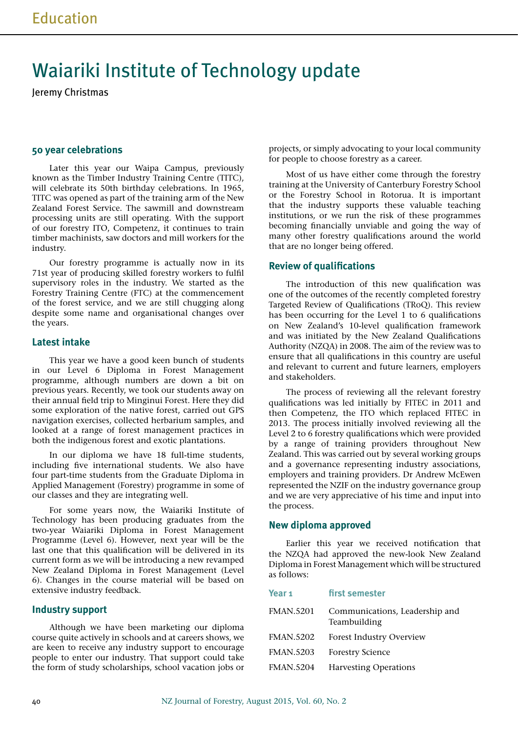# Waiariki Institute of Technology update

Jeremy Christmas

## **50 year celebrations**

Later this year our Waipa Campus, previously known as the Timber Industry Training Centre (TITC), will celebrate its 50th birthday celebrations. In 1965, TITC was opened as part of the training arm of the New Zealand Forest Service. The sawmill and downstream processing units are still operating. With the support of our forestry ITO, Competenz, it continues to train timber machinists, saw doctors and mill workers for the industry.

Our forestry programme is actually now in its 71st year of producing skilled forestry workers to fulfil supervisory roles in the industry. We started as the Forestry Training Centre (FTC) at the commencement of the forest service, and we are still chugging along despite some name and organisational changes over the years.

## **Latest intake**

This year we have a good keen bunch of students in our Level 6 Diploma in Forest Management programme, although numbers are down a bit on previous years. Recently, we took our students away on their annual field trip to Minginui Forest. Here they did some exploration of the native forest, carried out GPS navigation exercises, collected herbarium samples, and looked at a range of forest management practices in both the indigenous forest and exotic plantations.

In our diploma we have 18 full-time students, including five international students. We also have four part-time students from the Graduate Diploma in Applied Management (Forestry) programme in some of our classes and they are integrating well.

For some years now, the Waiariki Institute of Technology has been producing graduates from the two-year Waiariki Diploma in Forest Management Programme (Level 6). However, next year will be the last one that this qualification will be delivered in its current form as we will be introducing a new revamped New Zealand Diploma in Forest Management (Level 6). Changes in the course material will be based on extensive industry feedback.

## **Industry support**

Although we have been marketing our diploma course quite actively in schools and at careers shows, we are keen to receive any industry support to encourage people to enter our industry. That support could take the form of study scholarships, school vacation jobs or projects, or simply advocating to your local community for people to choose forestry as a career.

Most of us have either come through the forestry training at the University of Canterbury Forestry School or the Forestry School in Rotorua. It is important that the industry supports these valuable teaching institutions, or we run the risk of these programmes becoming financially unviable and going the way of many other forestry qualifications around the world that are no longer being offered.

# **Review of qualifications**

The introduction of this new qualification was one of the outcomes of the recently completed forestry Targeted Review of Qualifications (TRoQ). This review has been occurring for the Level 1 to 6 qualifications on New Zealand's 10-level qualification framework and was initiated by the New Zealand Qualifications Authority (NZQA) in 2008. The aim of the review was to ensure that all qualifications in this country are useful and relevant to current and future learners, employers and stakeholders.

The process of reviewing all the relevant forestry qualifications was led initially by FITEC in 2011 and then Competenz, the ITO which replaced FITEC in 2013. The process initially involved reviewing all the Level 2 to 6 forestry qualifications which were provided by a range of training providers throughout New Zealand. This was carried out by several working groups and a governance representing industry associations, employers and training providers. Dr Andrew McEwen represented the NZIF on the industry governance group and we are very appreciative of his time and input into the process.

### **New diploma approved**

Earlier this year we received notification that the NZQA had approved the new-look New Zealand Diploma in Forest Management which will be structured as follows:

#### **Year 1 first semester**

| FMAN.5201        | Communications, Leadership and<br>Teambuilding |
|------------------|------------------------------------------------|
| FMAN.5202        | Forest Industry Overview                       |
| FMAN.5203        | <b>Forestry Science</b>                        |
| <b>FMAN.5204</b> | <b>Harvesting Operations</b>                   |